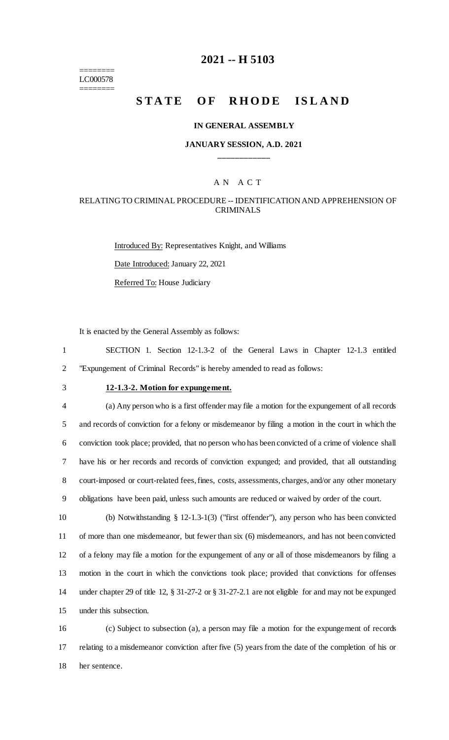======== LC000578 ========

## **2021 -- H 5103**

# **STATE OF RHODE ISLAND**

#### **IN GENERAL ASSEMBLY**

### **JANUARY SESSION, A.D. 2021 \_\_\_\_\_\_\_\_\_\_\_\_**

### A N A C T

### RELATING TO CRIMINAL PROCEDURE -- IDENTIFICATION AND APPREHENSION OF CRIMINALS

Introduced By: Representatives Knight, and Williams Date Introduced: January 22, 2021 Referred To: House Judiciary

It is enacted by the General Assembly as follows:

1 SECTION 1. Section 12-1.3-2 of the General Laws in Chapter 12-1.3 entitled 2 "Expungement of Criminal Records" is hereby amended to read as follows:

# 3 **12-1.3-2. Motion for expungement.**

 (a) Any person who is a first offender may file a motion for the expungement of all records and records of conviction for a felony or misdemeanor by filing a motion in the court in which the conviction took place; provided, that no person who has been convicted of a crime of violence shall have his or her records and records of conviction expunged; and provided, that all outstanding court-imposed or court-related fees, fines, costs, assessments, charges, and/or any other monetary obligations have been paid, unless such amounts are reduced or waived by order of the court.

 (b) Notwithstanding § 12-1.3-1(3) ("first offender"), any person who has been convicted of more than one misdemeanor, but fewer than six (6) misdemeanors, and has not been convicted of a felony may file a motion for the expungement of any or all of those misdemeanors by filing a motion in the court in which the convictions took place; provided that convictions for offenses under chapter 29 of title 12, § 31-27-2 or § 31-27-2.1 are not eligible for and may not be expunged under this subsection.

16 (c) Subject to subsection (a), a person may file a motion for the expungement of records 17 relating to a misdemeanor conviction after five (5) years from the date of the completion of his or 18 her sentence.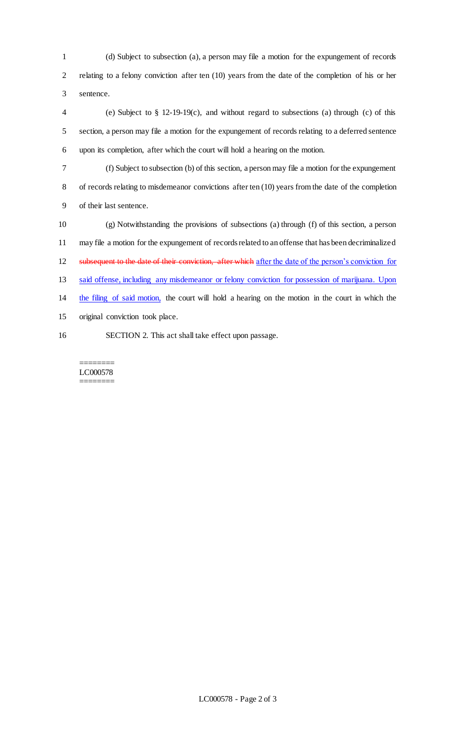(d) Subject to subsection (a), a person may file a motion for the expungement of records relating to a felony conviction after ten (10) years from the date of the completion of his or her sentence.

 (e) Subject to § 12-19-19(c), and without regard to subsections (a) through (c) of this section, a person may file a motion for the expungement of records relating to a deferred sentence upon its completion, after which the court will hold a hearing on the motion.

- (f) Subject to subsection (b) of this section, a person may file a motion for the expungement of records relating to misdemeanor convictions after ten (10) years from the date of the completion of their last sentence.
- (g) Notwithstanding the provisions of subsections (a) through (f) of this section, a person may file a motion for the expungement of records related to an offense that has been decriminalized 12 subsequent to the date of their conviction, after which after the date of the person's conviction for said offense, including any misdemeanor or felony conviction for possession of marijuana. Upon the filing of said motion, the court will hold a hearing on the motion in the court in which the original conviction took place.
- SECTION 2. This act shall take effect upon passage.

======== LC000578 ========